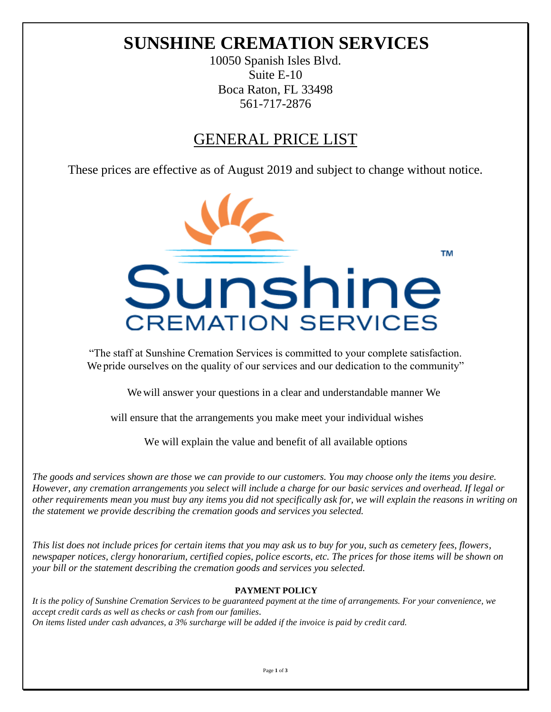# **SUNSHINE CREMATION SERVICES**

10050 Spanish Isles Blvd. Suite E-10 Boca Raton, FL 33498 561-717-2876

## GENERAL PRICE LIST

These prices are effective as of August 2019 and subject to change without notice.



"The staff at Sunshine Cremation Services is committed to your complete satisfaction. We pride ourselves on the quality of our services and our dedication to the community"

We will answer your questions in a clear and understandable manner We

will ensure that the arrangements you make meet your individual wishes

We will explain the value and benefit of all available options

*The goods and services shown are those we can provide to our customers. You may choose only the items you desire. However, any cremation arrangements you select will include a charge for our basic services and overhead. If legal or other requirements mean you must buy any items you did not specifically ask for, we will explain the reasons in writing on the statement we provide describing the cremation goods and services you selected.*

*This list does not include prices for certain items that you may ask us to buy for you, such as cemetery fees, flowers, newspaper notices, clergy honorarium, certified copies, police escorts, etc. The prices for those items will be shown on your bill or the statement describing the cremation goods and services you selected.*

## **PAYMENT POLICY**

*It is the policy of Sunshine Cremation Services to be guaranteed payment at the time of arrangements. For your convenience, we accept credit cards as well as checks or cash from our families. On items listed under cash advances, a 3% surcharge will be added if the invoice is paid by credit card.*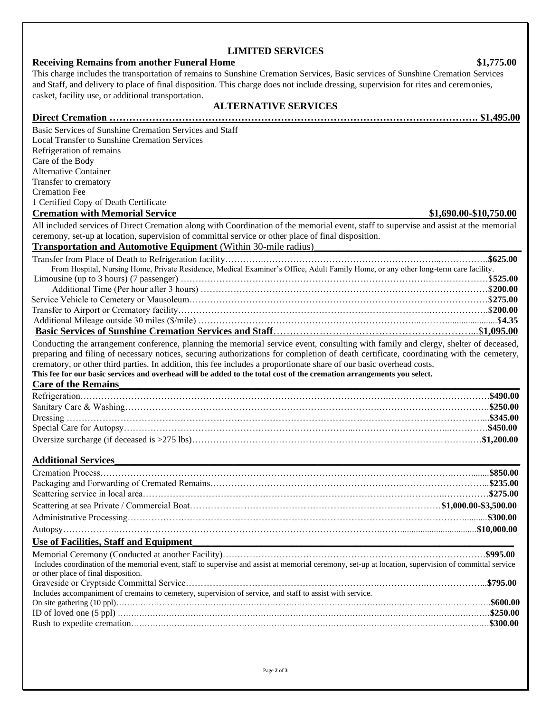| and Staff, and delivery to place of final disposition. This charge does not include dressing, supervision for rites and ceremonies,                   |  |  |
|-------------------------------------------------------------------------------------------------------------------------------------------------------|--|--|
| casket, facility use, or additional transportation.                                                                                                   |  |  |
| <b>ALTERNATIVE SERVICES</b>                                                                                                                           |  |  |
|                                                                                                                                                       |  |  |
| Basic Services of Sunshine Cremation Services and Staff                                                                                               |  |  |
| <b>Local Transfer to Sunshine Cremation Services</b>                                                                                                  |  |  |
| Refrigeration of remains                                                                                                                              |  |  |
| Care of the Body<br><b>Alternative Container</b>                                                                                                      |  |  |
| Transfer to crematory                                                                                                                                 |  |  |
| <b>Cremation Fee</b>                                                                                                                                  |  |  |
| 1 Certified Copy of Death Certificate                                                                                                                 |  |  |
| <b>Cremation with Memorial Service</b><br>\$1,690.00-\$10,750.00                                                                                      |  |  |
| All included services of Direct Cremation along with Coordination of the memorial event, staff to supervise and assist at the memorial                |  |  |
| ceremony, set-up at location, supervision of committal service or other place of final disposition.                                                   |  |  |
| Transportation and Automotive Equipment (Within 30-mile radius)                                                                                       |  |  |
|                                                                                                                                                       |  |  |
| From Hospital, Nursing Home, Private Residence, Medical Examiner's Office, Adult Family Home, or any other long-term care facility.                   |  |  |
|                                                                                                                                                       |  |  |
|                                                                                                                                                       |  |  |
|                                                                                                                                                       |  |  |
|                                                                                                                                                       |  |  |
|                                                                                                                                                       |  |  |
|                                                                                                                                                       |  |  |
| Conducting the arrangement conference, planning the memorial service event, consulting with family and clergy, shelter of deceased,                   |  |  |
| preparing and filing of necessary notices, securing authorizations for completion of death certificate, coordinating with the cemetery,               |  |  |
| crematory, or other third parties. In addition, this fee includes a proportionate share of our basic overhead costs.                                  |  |  |
|                                                                                                                                                       |  |  |
| This fee for our basic services and overhead will be added to the total cost of the cremation arrangements you select.                                |  |  |
| <b>Care of the Remains</b>                                                                                                                            |  |  |
|                                                                                                                                                       |  |  |
|                                                                                                                                                       |  |  |
|                                                                                                                                                       |  |  |
|                                                                                                                                                       |  |  |
|                                                                                                                                                       |  |  |
|                                                                                                                                                       |  |  |
| <b>Additional Services</b>                                                                                                                            |  |  |
|                                                                                                                                                       |  |  |
|                                                                                                                                                       |  |  |
|                                                                                                                                                       |  |  |
|                                                                                                                                                       |  |  |
|                                                                                                                                                       |  |  |
|                                                                                                                                                       |  |  |
| Use of Facilities, Staff and Equipment                                                                                                                |  |  |
|                                                                                                                                                       |  |  |
| Includes coordination of the memorial event, staff to supervise and assist at memorial ceremony, set-up at location, supervision of committal service |  |  |
| or other place of final disposition.                                                                                                                  |  |  |
|                                                                                                                                                       |  |  |
| Includes accompaniment of cremains to cemetery, supervision of service, and staff to assist with service.                                             |  |  |
|                                                                                                                                                       |  |  |
|                                                                                                                                                       |  |  |
|                                                                                                                                                       |  |  |

## **LIMITED SERVICES**

This charge includes the transportation of remains to Sunshine Cremation Services, Basic services of Sunshine Cremation Services

## **Receiving Remains from another Funeral Home \$1,775.00**